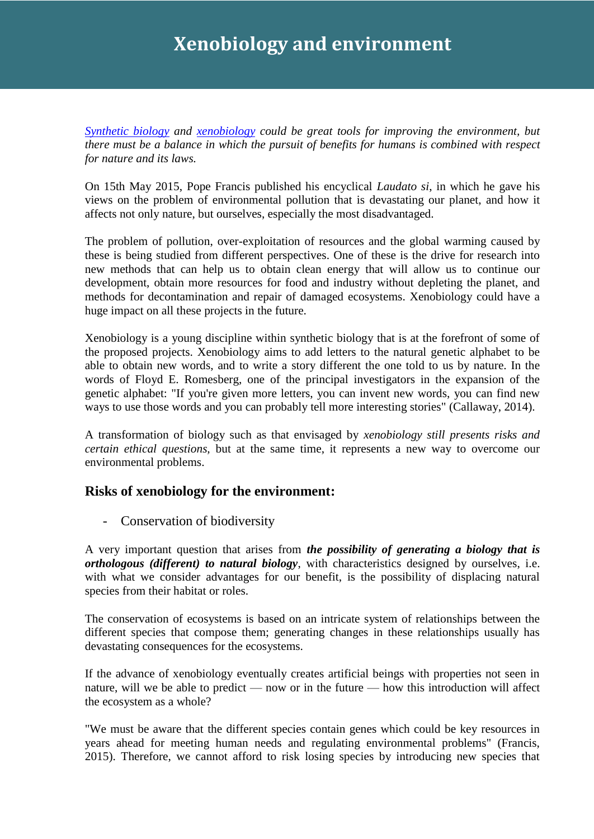## **Xenobiology and environment**

*[Synthetic biology](http://www.observatoriobioetica.org/?s=Synthetic+biology) and [xenobiology](https://en.wikipedia.org/wiki/Xenobiology) could be great tools for improving the environment, but there must be a balance in which the pursuit of benefits for humans is combined with respect for nature and its laws.*

On 15th May 2015, Pope Francis published his encyclical *Laudato si*, in which he gave his views on the problem of environmental pollution that is devastating our planet, and how it affects not only nature, but ourselves, especially the most disadvantaged.

The problem of pollution, over-exploitation of resources and the global warming caused by these is being studied from different perspectives. One of these is the drive for research into new methods that can help us to obtain clean energy that will allow us to continue our development, obtain more resources for food and industry without depleting the planet, and methods for decontamination and repair of damaged ecosystems. Xenobiology could have a huge impact on all these projects in the future.

Xenobiology is a young discipline within synthetic biology that is at the forefront of some of the proposed projects. Xenobiology aims to add letters to the natural genetic alphabet to be able to obtain new words, and to write a story different the one told to us by nature. In the words of Floyd E. Romesberg, one of the principal investigators in the expansion of the genetic alphabet: "If you're given more letters, you can invent new words, you can find new ways to use those words and you can probably tell more interesting stories" (Callaway, 2014).

A transformation of biology such as that envisaged by *xenobiology still presents risks and certain ethical questions,* but at the same time, it represents a new way to overcome our environmental problems.

## **Risks of xenobiology for the environment:**

- Conservation of biodiversity

A very important question that arises from *the possibility of generating a biology that is orthologous (different) to natural biology*, with characteristics designed by ourselves, i.e. with what we consider advantages for our benefit, is the possibility of displacing natural species from their habitat or roles.

The conservation of ecosystems is based on an intricate system of relationships between the different species that compose them; generating changes in these relationships usually has devastating consequences for the ecosystems.

If the advance of xenobiology eventually creates artificial beings with properties not seen in nature, will we be able to predict — now or in the future — how this introduction will affect the ecosystem as a whole?

"We must be aware that the different species contain genes which could be key resources in years ahead for meeting human needs and regulating environmental problems" (Francis, 2015). Therefore, we cannot afford to risk losing species by introducing new species that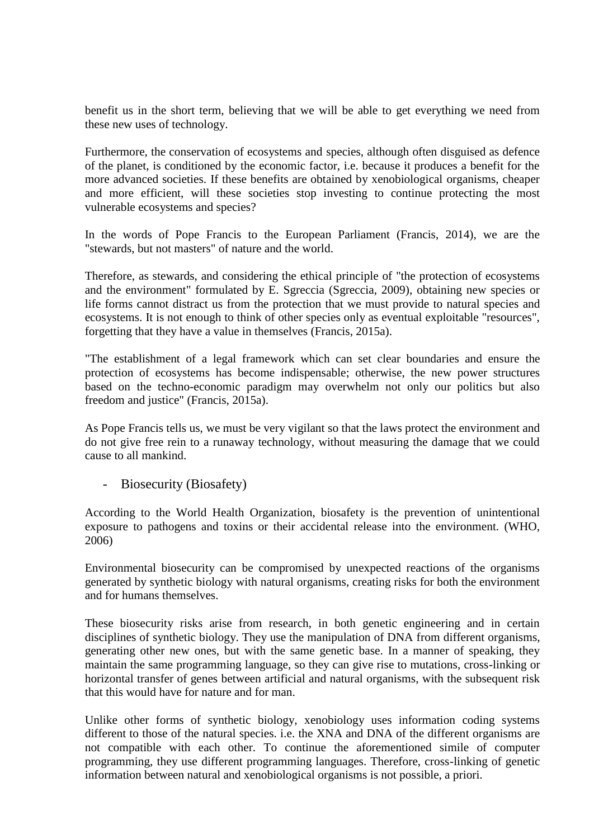benefit us in the short term, believing that we will be able to get everything we need from these new uses of technology.

Furthermore, the conservation of ecosystems and species, although often disguised as defence of the planet, is conditioned by the economic factor, i.e. because it produces a benefit for the more advanced societies. If these benefits are obtained by xenobiological organisms, cheaper and more efficient, will these societies stop investing to continue protecting the most vulnerable ecosystems and species?

In the words of Pope Francis to the European Parliament (Francis, 2014), we are the "stewards, but not masters" of nature and the world.

Therefore, as stewards, and considering the ethical principle of "the protection of ecosystems and the environment" formulated by E. Sgreccia (Sgreccia, 2009), obtaining new species or life forms cannot distract us from the protection that we must provide to natural species and ecosystems. It is not enough to think of other species only as eventual exploitable "resources", forgetting that they have a value in themselves (Francis, 2015a).

"The establishment of a legal framework which can set clear boundaries and ensure the protection of ecosystems has become indispensable; otherwise, the new power structures based on the techno-economic paradigm may overwhelm not only our politics but also freedom and justice" (Francis, 2015a).

As Pope Francis tells us, we must be very vigilant so that the laws protect the environment and do not give free rein to a runaway technology, without measuring the damage that we could cause to all mankind.

Biosecurity (Biosafety)

According to the World Health Organization, biosafety is the prevention of unintentional exposure to pathogens and toxins or their accidental release into the environment. (WHO, 2006)

Environmental biosecurity can be compromised by unexpected reactions of the organisms generated by synthetic biology with natural organisms, creating risks for both the environment and for humans themselves.

These biosecurity risks arise from research, in both genetic engineering and in certain disciplines of synthetic biology. They use the manipulation of DNA from different organisms, generating other new ones, but with the same genetic base. In a manner of speaking, they maintain the same programming language, so they can give rise to mutations, cross-linking or horizontal transfer of genes between artificial and natural organisms, with the subsequent risk that this would have for nature and for man.

Unlike other forms of synthetic biology, xenobiology uses information coding systems different to those of the natural species. i.e. the XNA and DNA of the different organisms are not compatible with each other. To continue the aforementioned simile of computer programming, they use different programming languages. Therefore, cross-linking of genetic information between natural and xenobiological organisms is not possible, a priori.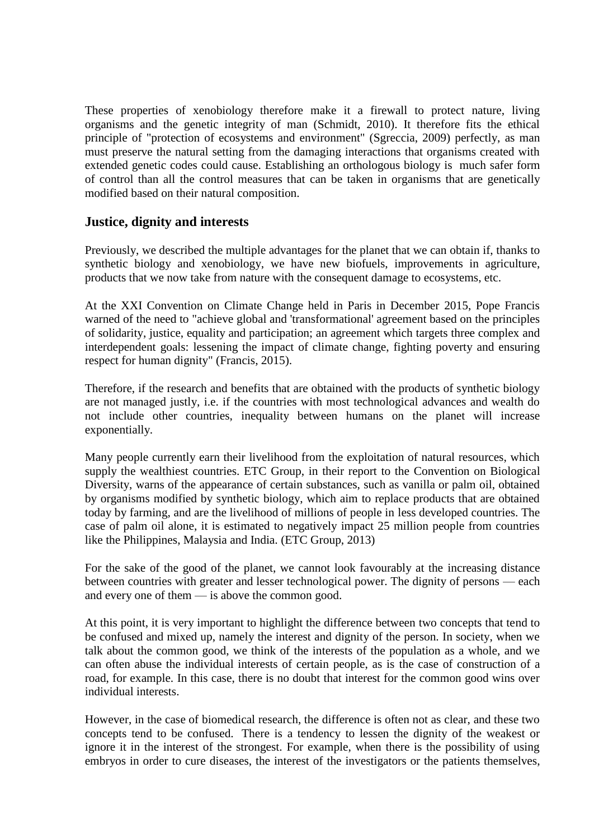These properties of xenobiology therefore make it a firewall to protect nature, living organisms and the genetic integrity of man (Schmidt, 2010). It therefore fits the ethical principle of "protection of ecosystems and environment" (Sgreccia, 2009) perfectly, as man must preserve the natural setting from the damaging interactions that organisms created with extended genetic codes could cause. Establishing an orthologous biology is much safer form of control than all the control measures that can be taken in organisms that are genetically modified based on their natural composition.

## **Justice, dignity and interests**

Previously, we described the multiple advantages for the planet that we can obtain if, thanks to synthetic biology and xenobiology, we have new biofuels, improvements in agriculture, products that we now take from nature with the consequent damage to ecosystems, etc.

At the XXI Convention on Climate Change held in Paris in December 2015, Pope Francis warned of the need to "achieve global and 'transformational' agreement based on the principles of solidarity, justice, equality and participation; an agreement which targets three complex and interdependent goals: lessening the impact of climate change, fighting poverty and ensuring respect for human dignity" (Francis, 2015).

Therefore, if the research and benefits that are obtained with the products of synthetic biology are not managed justly, i.e. if the countries with most technological advances and wealth do not include other countries, inequality between humans on the planet will increase exponentially.

Many people currently earn their livelihood from the exploitation of natural resources, which supply the wealthiest countries. ETC Group, in their report to the Convention on Biological Diversity, warns of the appearance of certain substances, such as vanilla or palm oil, obtained by organisms modified by synthetic biology, which aim to replace products that are obtained today by farming, and are the livelihood of millions of people in less developed countries. The case of palm oil alone, it is estimated to negatively impact 25 million people from countries like the Philippines, Malaysia and India. (ETC Group, 2013)

For the sake of the good of the planet, we cannot look favourably at the increasing distance between countries with greater and lesser technological power. The dignity of persons — each and every one of them — is above the common good.

At this point, it is very important to highlight the difference between two concepts that tend to be confused and mixed up, namely the interest and dignity of the person. In society, when we talk about the common good, we think of the interests of the population as a whole, and we can often abuse the individual interests of certain people, as is the case of construction of a road, for example. In this case, there is no doubt that interest for the common good wins over individual interests.

However, in the case of biomedical research, the difference is often not as clear, and these two concepts tend to be confused. There is a tendency to lessen the dignity of the weakest or ignore it in the interest of the strongest. For example, when there is the possibility of using embryos in order to cure diseases, the interest of the investigators or the patients themselves,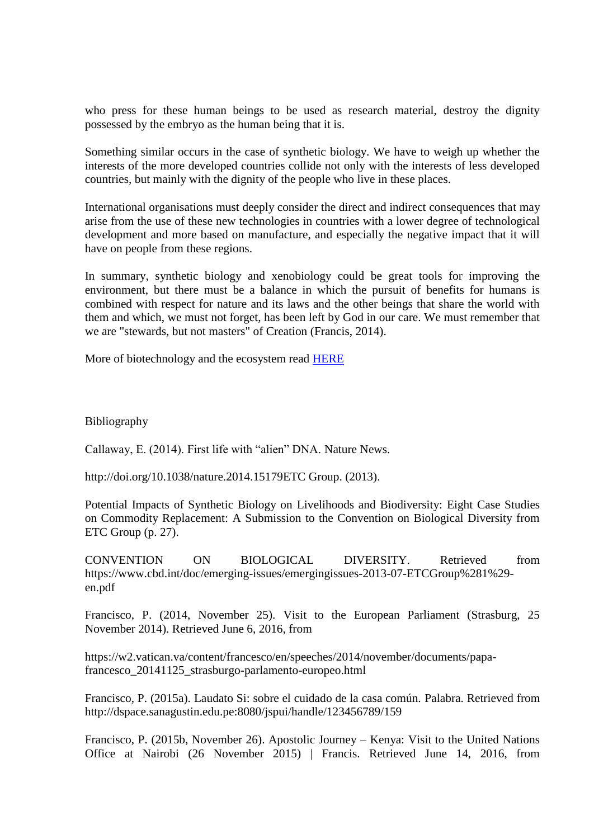who press for these human beings to be used as research material, destroy the dignity possessed by the embryo as the human being that it is.

Something similar occurs in the case of synthetic biology. We have to weigh up whether the interests of the more developed countries collide not only with the interests of less developed countries, but mainly with the dignity of the people who live in these places.

International organisations must deeply consider the direct and indirect consequences that may arise from the use of these new technologies in countries with a lower degree of technological development and more based on manufacture, and especially the negative impact that it will have on people from these regions.

In summary, synthetic biology and xenobiology could be great tools for improving the environment, but there must be a balance in which the pursuit of benefits for humans is combined with respect for nature and its laws and the other beings that share the world with them and which, we must not forget, has been left by God in our care. We must remember that we are "stewards, but not masters" of Creation (Francis, 2014).

More of biotechnology and the ecosystem read [HERE](http://www.observatoriobioetica.org/2016/05/ecosystems-could-be-affected-by-two-mixed-techniques-of-genome-editing/13519)

Bibliography

Callaway, E. (2014). First life with "alien" DNA. Nature News.

http://doi.org/10.1038/nature.2014.15179ETC Group. (2013).

Potential Impacts of Synthetic Biology on Livelihoods and Biodiversity: Eight Case Studies on Commodity Replacement: A Submission to the Convention on Biological Diversity from ETC Group (p. 27).

CONVENTION ON BIOLOGICAL DIVERSITY. Retrieved from https://www.cbd.int/doc/emerging-issues/emergingissues-2013-07-ETCGroup%281%29 en.pdf

Francisco, P. (2014, November 25). Visit to the European Parliament (Strasburg, 25 November 2014). Retrieved June 6, 2016, from

https://w2.vatican.va/content/francesco/en/speeches/2014/november/documents/papafrancesco\_20141125\_strasburgo-parlamento-europeo.html

Francisco, P. (2015a). Laudato Si: sobre el cuidado de la casa común. Palabra. Retrieved from http://dspace.sanagustin.edu.pe:8080/jspui/handle/123456789/159

Francisco, P. (2015b, November 26). Apostolic Journey – Kenya: Visit to the United Nations Office at Nairobi (26 November 2015) | Francis. Retrieved June 14, 2016, from